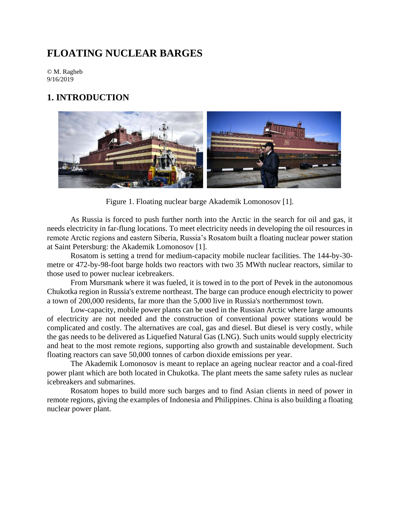# **FLOATING NUCLEAR BARGES**

© M. Ragheb 9/16/2019

## **1. INTRODUCTION**



Figure 1. Floating nuclear barge Akademik Lomonosov [1].

As Russia is forced to push further north into the Arctic in the search for oil and gas, it needs electricity in far-flung locations. To meet electricity needs in developing the oil resources in remote Arctic regions and eastern Siberia, Russia's Rosatom built a floating nuclear power station at Saint Petersburg: the Akademik Lomonosov [1].

Rosatom is setting a trend for medium-capacity mobile nuclear facilities. The 144-by-30 metre or 472-by-98-foot barge holds two reactors with two 35 MWth nuclear reactors, similar to those used to power nuclear icebreakers.

From Mursmank where it was fueled, it is towed in to the port of Pevek in the autonomous Chukotka region in Russia's extreme northeast. The barge can produce enough electricity to power a town of 200,000 residents, far more than the 5,000 live in Russia's northernmost town.

Low-capacity, mobile power plants can be used in the Russian Arctic where large amounts of electricity are not needed and the construction of conventional power stations would be complicated and costly. The alternatives are coal, gas and diesel. But diesel is very costly, while the gas needs to be delivered as Liquefied Natural Gas (LNG). Such units would supply electricity and heat to the most remote regions, supporting also growth and sustainable development. Such floating reactors can save 50,000 tonnes of carbon dioxide emissions per year.

The Akademik Lomonosov is meant to replace an ageing nuclear reactor and a coal-fired power plant which are both located in Chukotka. The plant meets the same safety rules as nuclear icebreakers and submarines.

Rosatom hopes to build more such barges and to find Asian clients in need of power in remote regions, giving the examples of Indonesia and Philippines. China is also building a floating nuclear power plant.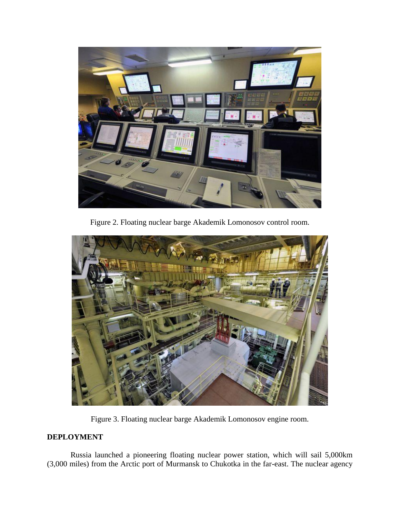

Figure 2. Floating nuclear barge Akademik Lomonosov control room.



Figure 3. Floating nuclear barge Akademik Lomonosov engine room.

### **DEPLOYMENT**

Russia launched a pioneering floating nuclear power station, which will sail 5,000km (3,000 miles) from the Arctic port of Murmansk to Chukotka in the far-east. The nuclear agency